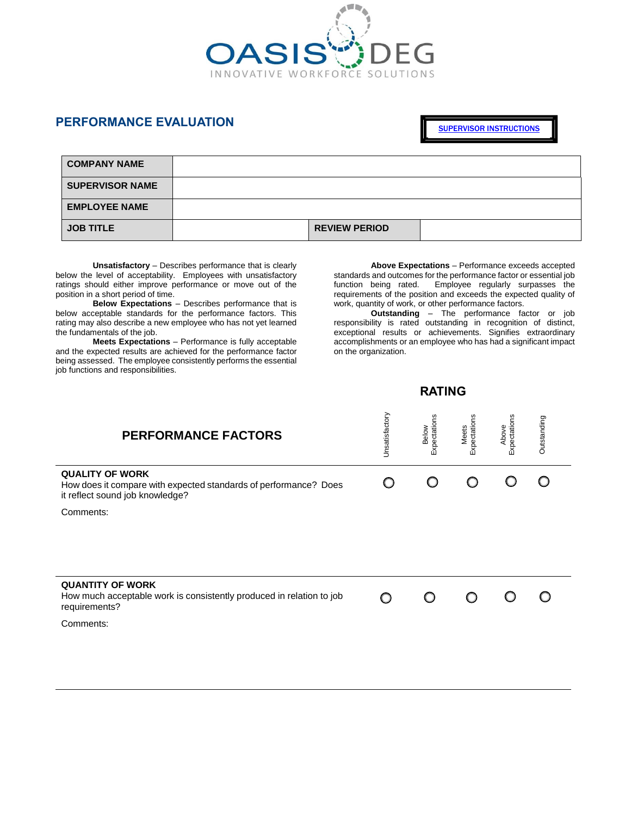

## **PERFORMANCE EVALUATION**

[SUPERVISOR INSTRUCTIONS](https://www.dohertyhrdirect.com/MasterDocs/HUMAN%20RESOURCES/Information/Performance%20Evaluation%20Recommendations.pdf)

| <b>COMPANY NAME</b>    |                      |  |
|------------------------|----------------------|--|
| <b>SUPERVISOR NAME</b> |                      |  |
| <b>EMPLOYEE NAME</b>   |                      |  |
| <b>JOB TITLE</b>       | <b>REVIEW PERIOD</b> |  |

**Unsatisfactory** – Describes performance that is clearly below the level of acceptability. Employees with unsatisfactory ratings should either improve performance or move out of the position in a short period of time.

**Below Expectations** – Describes performance that is below acceptable standards for the performance factors. This rating may also describe a new employee who has not yet learned the fundamentals of the job.

**Meets Expectations** – Performance is fully acceptable and the expected results are achieved for the performance factor being assessed. The employee consistently performs the essential job functions and responsibilities.

**Above Expectations** – Performance exceeds accepted standards and outcomes for the performance factor or essential job<br>function being rated. Employee regularly surpasses the  $Employee$  regularly surpasses the requirements of the position and exceeds the expected quality of work, quantity of work, or other performance factors.

**Outstanding** – The performance factor or job responsibility is rated outstanding in recognition of distinct, exceptional results or achievements. Signifies extraordinary accomplishments or an employee who has had a significant impact on the organization.

## *RATING*

| <b>PERFORMANCE FACTORS</b>                                                                                                    | Unsatisfactory | Expectations<br>Below | Meets<br>Expectations | Above<br>Expectations | Outstanding |
|-------------------------------------------------------------------------------------------------------------------------------|----------------|-----------------------|-----------------------|-----------------------|-------------|
| <b>QUALITY OF WORK</b><br>How does it compare with expected standards of performance? Does<br>it reflect sound job knowledge? |                |                       |                       |                       |             |
| Comments:                                                                                                                     |                |                       |                       |                       |             |
|                                                                                                                               |                |                       |                       |                       |             |
| <b>QUANTITY OF WORK</b><br>How much acceptable work is consistently produced in relation to job<br>requirements?              |                |                       |                       |                       |             |
| Comments:                                                                                                                     |                |                       |                       |                       |             |
|                                                                                                                               |                |                       |                       |                       |             |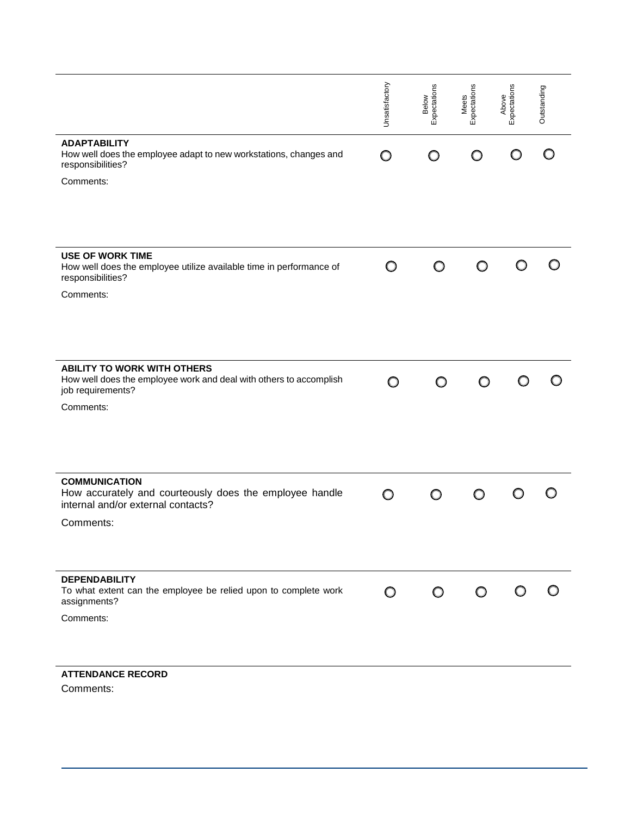|                                                                                                                               | Unsatisfactory | Expectations<br>Below | Meets<br>Expectations | Expectations<br>Above | Outstanding |
|-------------------------------------------------------------------------------------------------------------------------------|----------------|-----------------------|-----------------------|-----------------------|-------------|
| <b>ADAPTABILITY</b><br>How well does the employee adapt to new workstations, changes and<br>responsibilities?                 | O              | O                     |                       |                       |             |
| Comments:                                                                                                                     |                |                       |                       |                       |             |
| <b>USE OF WORK TIME</b><br>How well does the employee utilize available time in performance of<br>responsibilities?           | O              | O                     | O                     |                       |             |
| Comments:                                                                                                                     |                |                       |                       |                       |             |
| <b>ABILITY TO WORK WITH OTHERS</b><br>How well does the employee work and deal with others to accomplish<br>job requirements? | O              | O                     | O                     |                       |             |
| Comments:                                                                                                                     |                |                       |                       |                       |             |
| <b>COMMUNICATION</b><br>How accurately and courteously does the employee handle<br>internal and/or external contacts?         | O              |                       | ∩                     |                       |             |
| Comments:                                                                                                                     |                |                       |                       |                       |             |
| <b>DEPENDABILITY</b><br>To what extent can the employee be relied upon to complete work<br>assignments?                       | $\circ$        | $\circ$               | $\circ$               | O                     |             |
| Comments:                                                                                                                     |                |                       |                       |                       |             |
| <b>ATTENDANCE RECORD</b>                                                                                                      |                |                       |                       |                       |             |

Comments: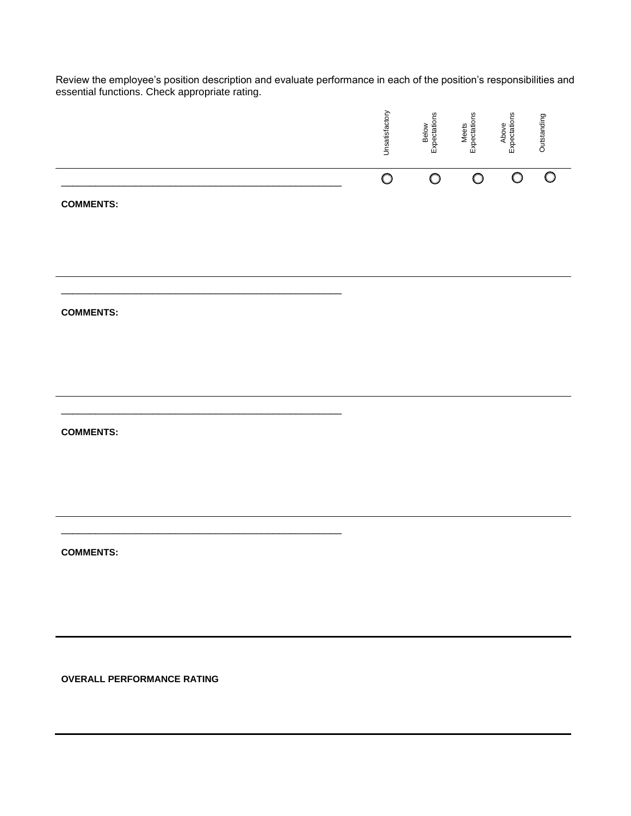Review the employee's position description and evaluate performance in each of the position's responsibilities and essential functions. Check appropriate rating.

|                                   | Unsatisfactory | Below<br>Expectations | Meets<br>Expectations | Above<br>Expectations | Outstanding |
|-----------------------------------|----------------|-----------------------|-----------------------|-----------------------|-------------|
| <b>COMMENTS:</b>                  | $\bigcirc$     | $\bigcirc$            | $\bigcirc$            | $\bigcirc$            | $\circ$     |
| <b>COMMENTS:</b>                  |                |                       |                       |                       |             |
| <b>COMMENTS:</b>                  |                |                       |                       |                       |             |
| <b>COMMENTS:</b>                  |                |                       |                       |                       |             |
| <b>OVERALL PERFORMANCE RATING</b> |                |                       |                       |                       |             |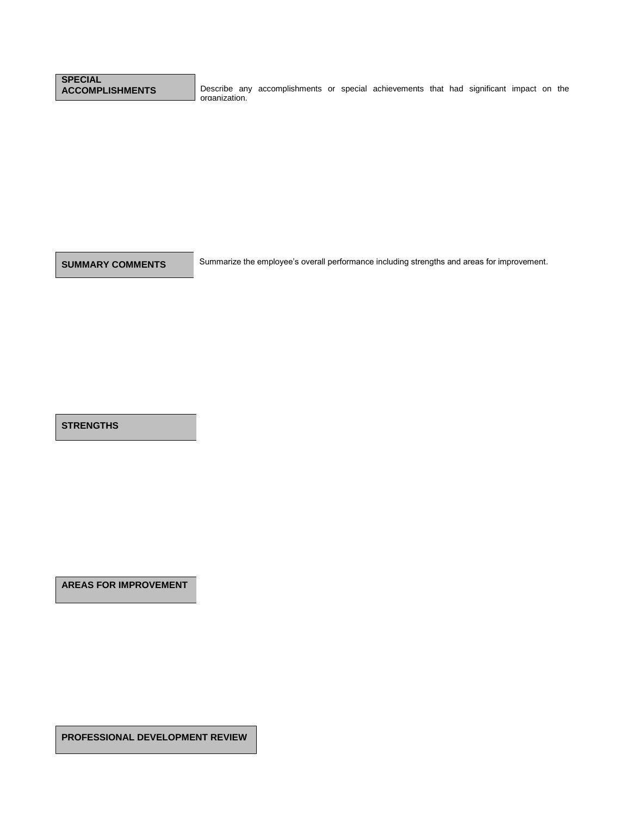## **SPECIAL**

Describe any accomplishments or special achievements that had significant impact on the organization.

**SUMMARY COMMENTS** Summarize the employee's overall performance including strengths and areas for improvement.

**STRENGTHS**

**AREAS FOR IMPROVEMENT**

**PROFESSIONAL DEVELOPMENT REVIEW**